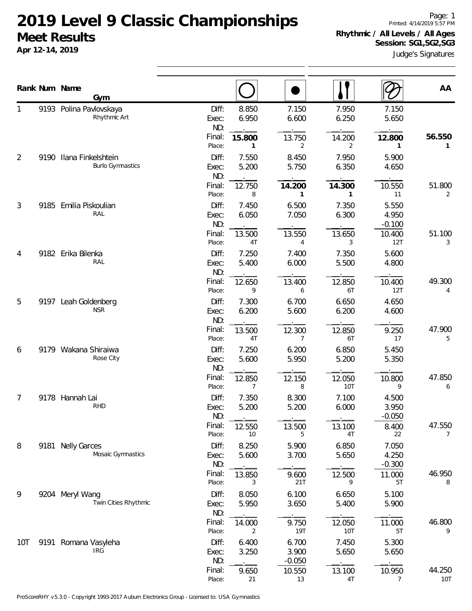Page: 1 Printed: 4/14/2019 5:57 PM **Rhythmic / All Levels / All Ages Session: SG1,SG2,SG3**

| UUCUL INUJULLJ<br>Apr 12-14, 2019 |     |  |  | Session: SG1, SG2, SG3 | Judge's Signatures |
|-----------------------------------|-----|--|--|------------------------|--------------------|
| Rank Num Name                     | Gvm |  |  |                        | AA                 |

|                |      | Gym                                           |                       |                |                            | $\bullet\, \cdot\,$ | ∥ (∕                       |               |
|----------------|------|-----------------------------------------------|-----------------------|----------------|----------------------------|---------------------|----------------------------|---------------|
| 1              |      | 9193 Polina Pavlovskaya<br>Rhythmic Art       | Diff:<br>Exec:<br>ND: | 8.850<br>6.950 | 7.150<br>6.600             | 7.950<br>6.250      | 7.150<br>5.650             |               |
|                |      |                                               | Final:<br>Place:      | 15.800<br>1    | 13.750<br>2                | 14.200<br>2         | 12.800<br>1                | 56.550<br>1   |
| 2              | 9190 | Ilana Finkelshtein<br><b>Burlo Gymnastics</b> | Diff:<br>Exec:<br>ND: | 7.550<br>5.200 | 8.450<br>5.750             | 7.950<br>6.350      | 5.900<br>4.650             |               |
|                |      |                                               | Final:<br>Place:      | 12.750<br>8    | 14.200<br>1                | 14.300<br>1         | 10.550<br>11               | 51.800<br>2   |
| $\mathfrak{Z}$ | 9185 | Emilia Piskoulian<br>RAL                      | Diff:<br>Exec:<br>ND: | 7.450<br>6.050 | 6.500<br>7.050             | 7.350<br>6.300      | 5.550<br>4.950<br>$-0.100$ |               |
|                |      |                                               | Final:<br>Place:      | 13.500<br>4T   | 13.550<br>4                | 13.650<br>3         | 10.400<br>12T              | 51.100<br>3   |
| 4              | 9182 | Erika Bilenka<br>RAL                          | Diff:<br>Exec:<br>ND: | 7.250<br>5.400 | 7.400<br>6.000             | 7.350<br>5.500      | 5.600<br>4.800             |               |
|                |      |                                               | Final:<br>Place:      | 12.650<br>9    | 13.400<br>6                | 12.850<br>6T        | 10.400<br>12T              | 49.300<br>4   |
| 5              |      | 9197 Leah Goldenberg<br><b>NSR</b>            | Diff:<br>Exec:<br>ND: | 7.300<br>6.200 | 6.700<br>5.600             | 6.650<br>6.200      | 4.650<br>4.600             |               |
|                |      |                                               | Final:<br>Place:      | 13.500<br>4T   | 12.300<br>$\overline{7}$   | 12.850<br>6T        | 9.250<br>17                | 47.900<br>5   |
| 6              |      | 9179 Wakana Shiraiwa<br>Rose City             | Diff:<br>Exec:<br>ND: | 7.250<br>5.600 | 6.200<br>5.950             | 6.850<br>5.200      | 5.450<br>5.350             |               |
|                |      |                                               | Final:<br>Place:      | 12.850<br>7    | 12.150<br>8                | 12.050<br>10T       | 10.800<br>9                | 47.850<br>6   |
| 7              |      | 9178 Hannah Lai<br><b>RHD</b>                 | Diff:<br>Exec:<br>ND: | 7.350<br>5.200 | 8.300<br>5.200             | 7.100<br>6.000      | 4.500<br>3.950<br>$-0.050$ |               |
|                |      |                                               | Final:<br>Place:      | 12.550<br>10   | 13.500<br>5                | 13.100<br>4T        | 8.400<br>22                | 47.550<br>7   |
| 8              |      | 9181 Nelly Garces<br>Mosaic Gymnastics        | Diff:<br>Exec:<br>ND: | 8.250<br>5.600 | 5.900<br>3.700             | 6.850<br>5.650      | 7.050<br>4.250<br>$-0.300$ |               |
|                |      |                                               | Final:<br>Place:      | 13.850<br>3    | 9.600<br>21T               | 12.500<br>9         | 11.000<br>5T               | 46.950<br>8   |
| 9              |      | 9204 Meryl Wang<br>Twin Cities Rhythmic       | Diff:<br>Exec:<br>ND: | 8.050<br>5.950 | 6.100<br>3.650             | 6.650<br>5.400      | 5.100<br>5.900             |               |
|                |      |                                               | Final:<br>Place:      | 14.000<br>2    | 9.750<br>19T               | 12.050<br>10T       | 11.000<br>5T               | 46.800<br>9   |
| 10T            |      | 9191 Romana Vasyleha<br><b>IRG</b>            | Diff:<br>Exec:<br>ND: | 6.400<br>3.250 | 6.700<br>3.900<br>$-0.050$ | 7.450<br>5.650      | 5.300<br>5.650             |               |
|                |      |                                               | Final:<br>Place:      | 9.650<br>21    | 10.550<br>13               | 13.100<br>4T        | 10.950<br>7                | 44.250<br>10T |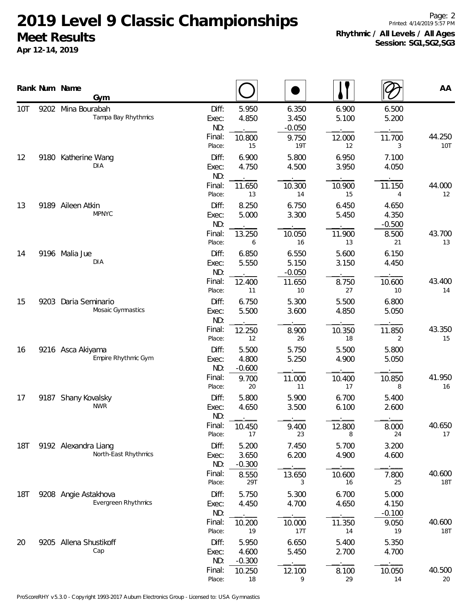**Apr 12-14, 2019**

Page: 2 Printed: 4/14/2019 5:57 PM **Rhythmic / All Levels / All Ages Session: SG1,SG2,SG3**

|            |      | Rank Num Name<br>Gym                         |                                 |                            |                            |                |                            | AA                   |
|------------|------|----------------------------------------------|---------------------------------|----------------------------|----------------------------|----------------|----------------------------|----------------------|
| 10T        |      | 9202 Mina Bourabah<br>Tampa Bay Rhythmics    | Diff:<br>Exec:<br>ND:<br>Final: | 5.950<br>4.850             | 6.350<br>3.450<br>$-0.050$ | 6.900<br>5.100 | 6.500<br>5.200             | 44.250               |
|            |      |                                              | Place:                          | 10.800<br>15               | 9.750<br><b>19T</b>        | 12.000<br>12   | 11.700<br>3                | 10T                  |
| 12         |      | 9180 Katherine Wang<br><b>DIA</b>            | Diff:<br>Exec:<br>ND:           | 6.900<br>4.750             | 5.800<br>4.500             | 6.950<br>3.950 | 7.100<br>4.050             |                      |
|            |      |                                              | Final:<br>Place:                | 11.650<br>13               | 10.300<br>14               | 10.900<br>15   | 11.150<br>4                | 44.000<br>12         |
| 13         |      | 9189 Aileen Atkin<br><b>MPNYC</b>            | Diff:<br>Exec:<br>ND:           | 8.250<br>5.000             | 6.750<br>3.300             | 6.450<br>5.450 | 4.650<br>4.350<br>$-0.500$ |                      |
|            |      |                                              | Final:<br>Place:                | 13.250<br>6                | 10.050<br>16               | 11.900<br>13   | 8.500<br>21                | 43.700<br>13         |
| 14         |      | 9196 Malia Jue<br>DIA                        | Diff:<br>Exec:<br>ND:           | 6.850<br>5.550             | 6.550<br>5.150<br>$-0.050$ | 5.600<br>3.150 | 6.150<br>4.450             |                      |
|            |      |                                              | Final:<br>Place:                | 12.400<br>11               | 11.650<br>10               | 8.750<br>27    | 10.600<br>10               | 43.400<br>14         |
| 15         | 9203 | Daria Seminario<br>Mosaic Gymnastics         | Diff:<br>Exec:<br>ND:           | 6.750<br>5.500             | 5.300<br>3.600             | 5.500<br>4.850 | 6.800<br>5.050             |                      |
|            |      |                                              | Final:<br>Place:                | 12.250<br>12               | 8.900<br>26                | 10.350<br>18   | 11.850<br>2                | 43.350<br>15         |
| 16         |      | 9216 Asca Akiyama<br>Empire Rhythmic Gym     | Diff:<br>Exec:<br>ND:           | 5.500<br>4.800<br>$-0.600$ | 5.750<br>5.250             | 5.500<br>4.900 | 5.800<br>5.050             |                      |
|            |      |                                              | Final:<br>Place:                | 9.700<br>20                | 11.000<br>11               | 10.400<br>17   | 10.850<br>8                | 41.950<br>16         |
| 17         | 9187 | Shany Kovalsky<br><b>NWR</b>                 | Diff:<br>Exec:<br>ND:           | 5.800<br>4.650             | 5.900<br>3.500             | 6.700<br>6.100 | 5.400<br>2.600             |                      |
|            |      |                                              | Final:<br>Place:                | 10.450<br>17               | 9.400<br>23                | 12.800<br>8    | 8.000<br>24                | 40.650<br>17         |
| <b>18T</b> |      | 9192 Alexandra Liang<br>North-East Rhythmics | Diff:<br>Exec:<br>ND:           | 5.200<br>3.650<br>$-0.300$ | 7.450<br>6.200             | 5.700<br>4.900 | 3.200<br>4.600             |                      |
|            |      |                                              | Final:<br>Place:                | 8.550<br>29T               | 13.650<br>3                | 10.600<br>16   | 7.800<br>25                | 40.600<br><b>18T</b> |
| <b>18T</b> |      | 9208 Angie Astakhova<br>Evergreen Rhythmics  | Diff:<br>Exec:<br>ND:           | 5.750<br>4.450             | 5.300<br>4.700             | 6.700<br>4.650 | 5.000<br>4.150<br>$-0.100$ |                      |
|            |      |                                              | Final:<br>Place:                | 10.200<br>19               | 10.000<br>17T              | 11.350<br>$14$ | 9.050<br>19                | 40.600<br>18T        |
| 20         |      | 9205 Allena Shustikoff<br>Cap                | Diff:<br>Exec:<br>ND:           | 5.950<br>4.600<br>$-0.300$ | 6.650<br>5.450             | 5.400<br>2.700 | 5.350<br>4.700             |                      |
|            |      |                                              | Final:<br>Place:                | 10.250<br>18               | 12.100<br>9                | 8.100<br>29    | 10.050<br>14               | 40.500<br>20         |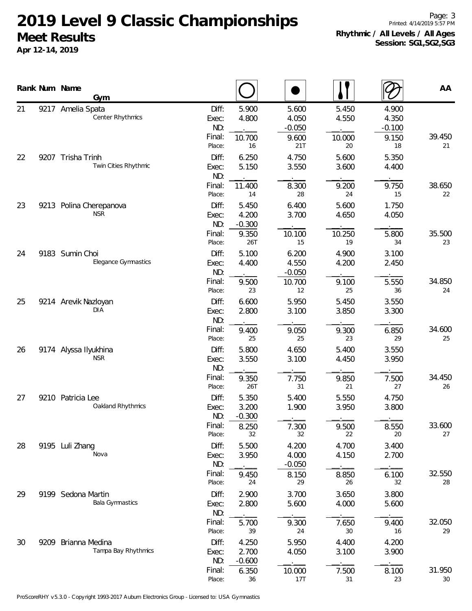**Apr 12-14, 2019**

Page: 3 Printed: 4/14/2019 5:57 PM **Rhythmic / All Levels / All Ages Session: SG1,SG2,SG3**

|    | Rank Num Name | Gym                                          |                                           |                                   |                                            |                                |                                           | AA           |
|----|---------------|----------------------------------------------|-------------------------------------------|-----------------------------------|--------------------------------------------|--------------------------------|-------------------------------------------|--------------|
| 21 |               | 9217 Amelia Spata<br><b>Center Rhythmics</b> | Diff:<br>Exec:<br>ND:<br>Final:<br>Place: | 5.900<br>4.800<br>10.700<br>16    | 5.600<br>4.050<br>$-0.050$<br>9.600<br>21T | 5.450<br>4.550<br>10.000<br>20 | 4.900<br>4.350<br>$-0.100$<br>9.150<br>18 | 39.450<br>21 |
| 22 |               | 9207 Trisha Trinh<br>Twin Cities Rhythmic    | Diff:<br>Exec:<br>ND:                     | 6.250<br>5.150                    | 4.750<br>3.550                             | 5.600<br>3.600                 | 5.350<br>4.400                            |              |
| 23 | 9213          | Polina Cherepanova                           | Final:<br>Place:<br>Diff:                 | 11.400<br>14<br>5.450             | 8.300<br>28<br>6.400                       | 9.200<br>24<br>5.600           | 9.750<br>15<br>1.750                      | 38.650<br>22 |
|    |               | <b>NSR</b>                                   | Exec:<br>ND:<br>Final:<br>Place:          | 4.200<br>$-0.300$<br>9.350<br>26T | 3.700<br>10.100<br>15                      | 4.650<br>10.250<br>19          | 4.050<br>5.800<br>34                      | 35.500<br>23 |
| 24 |               | 9183 Sumin Choi<br>Elegance Gymnastics       | Diff:<br>Exec:<br>ND:<br>Final:           | 5.100<br>4.400<br>9.500           | 6.200<br>4.550<br>$-0.050$<br>10.700       | 4.900<br>4.200<br>9.100        | 3.100<br>2.450<br>5.550                   | 34.850       |
| 25 |               | 9214 Arevik Nazloyan<br>DIA                  | Place:<br>Diff:<br>Exec:<br>ND:           | 23<br>6.600<br>2.800              | 12<br>5.950<br>3.100                       | 25<br>5.450<br>3.850           | 36<br>3.550<br>3.300                      | 24           |
| 26 |               | 9174 Alyssa Ilyukhina                        | Final:<br>Place:<br>Diff:                 | 9.400<br>25<br>5.800              | 9.050<br>25<br>4.650                       | 9.300<br>23<br>5.400           | 6.850<br>29<br>3.550                      | 34.600<br>25 |
|    |               | <b>NSR</b>                                   | Exec:<br>ND:<br>Final:<br>Place:          | 3.550<br>9.350<br>26T             | 3.100<br>7.750<br>31                       | 4.450<br>9.850<br>21           | 3.950<br>7.500<br>27                      | 34.450<br>26 |
| 27 |               | 9210 Patricia Lee<br>Oakland Rhythmics       | Diff:<br>Exec:<br>ND:                     | 5.350<br>3.200<br>$-0.300$        | 5.400<br>1.900                             | 5.550<br>3.950                 | 4.750<br>3.800                            |              |
| 28 |               | 9195 Luli Zhang                              | Final:<br>Place:<br>Diff:                 | 8.250<br>32<br>5.500              | 7.300<br>32<br>4.200                       | 9.500<br>22<br>4.700           | 8.550<br>20<br>3.400                      | 33.600<br>27 |
|    |               | Nova                                         | Exec:<br>ND:<br>Final:<br>Place:          | 3.950<br>9.450<br>24              | 4.000<br>$-0.050$<br>8.150<br>29           | 4.150<br>8.850<br>26           | 2.700<br>6.100<br>32                      | 32.550<br>28 |
| 29 |               | 9199 Sedona Martin<br><b>Bala Gymnastics</b> | Diff:<br>Exec:<br>ND:                     | 2.900<br>2.800                    | 3.700<br>5.600                             | 3.650<br>4.000                 | 3.800<br>5.600                            |              |
| 30 |               | Brianna Medina                               | Final:<br>Place:<br>Diff:                 | 5.700<br>39<br>4.250              | 9.300<br>24<br>5.950                       | 7.650<br>30<br>4.400           | 9.400<br>16<br>4.200                      | 32.050<br>29 |
|    | 9209          | Tampa Bay Rhythmics                          | Exec:<br>ND:                              | 2.700<br>$-0.600$                 | 4.050                                      | 3.100                          | 3.900                                     |              |
|    |               |                                              | Final:<br>Place:                          | 6.350<br>36                       | 10.000<br>17T                              | 7.500<br>31                    | 8.100<br>23                               | 31.950<br>30 |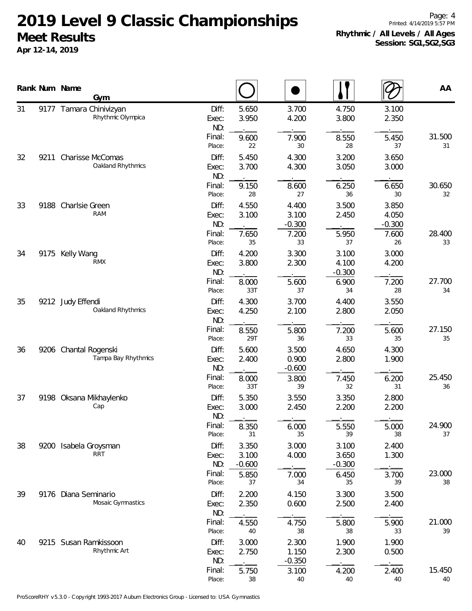**Apr 12-14, 2019**

Page: 4 Printed: 4/14/2019 5:57 PM **Rhythmic / All Levels / All Ages Session: SG1,SG2,SG3**

|    |      | Rank Num Name       | Gym                                          |                       |                            |                            |                            |                            | AA           |
|----|------|---------------------|----------------------------------------------|-----------------------|----------------------------|----------------------------|----------------------------|----------------------------|--------------|
| 31 |      |                     | 9177 Tamara Chinivizyan<br>Rhythmic Olympica | Diff:<br>Exec:<br>ND: | 5.650<br>3.950             | 3.700<br>4.200             | 4.750<br>3.800             | 3.100<br>2.350             |              |
|    |      |                     |                                              | Final:<br>Place:      | 9.600<br>22                | 7.900<br>30                | 8.550<br>28                | 5.450<br>37                | 31.500<br>31 |
| 32 | 9211 |                     | Charisse McComas<br>Oakland Rhythmics        | Diff:<br>Exec:<br>ND: | 5.450<br>3.700             | 4.300<br>4.300             | 3.200<br>3.050             | 3.650<br>3.000             |              |
|    |      |                     |                                              | Final:<br>Place:      | 9.150<br>28                | 8.600<br>27                | 6.250<br>36                | 6.650<br>30                | 30.650<br>32 |
| 33 |      | 9188 Charlsie Green | <b>RAM</b>                                   | Diff:<br>Exec:<br>ND: | 4.550<br>3.100             | 4.400<br>3.100<br>$-0.300$ | 3.500<br>2.450             | 3.850<br>4.050<br>$-0.300$ |              |
|    |      |                     |                                              | Final:<br>Place:      | 7.650<br>35                | 7.200<br>33                | 5.950<br>37                | 7.600<br>26                | 28.400<br>33 |
| 34 | 9175 | Kelly Wang          | <b>RMX</b>                                   | Diff:<br>Exec:<br>ND: | 4.200<br>3.800             | 3.300<br>2.300             | 3.100<br>4.100<br>$-0.300$ | 3.000<br>4.200             |              |
|    |      |                     |                                              | Final:<br>Place:      | 8.000<br>33T               | 5.600<br>37                | 6.900<br>34                | 7.200<br>28                | 27.700<br>34 |
| 35 |      | 9212 Judy Effendi   | Oakland Rhythmics                            | Diff:<br>Exec:<br>ND: | 4.300<br>4.250             | 3.700<br>2.100             | 4.400<br>2.800             | 3.550<br>2.050             |              |
|    |      |                     |                                              | Final:<br>Place:      | 8.550<br>29T               | 5.800<br>36                | 7.200<br>33                | 5.600<br>35                | 27.150<br>35 |
| 36 |      |                     | 9206 Chantal Rogenski<br>Tampa Bay Rhythmics | Diff:<br>Exec:<br>ND: | 5.600<br>2.400             | 3.500<br>0.900<br>$-0.600$ | 4.650<br>2.800             | 4.300<br>1.900             |              |
|    |      |                     |                                              | Final:<br>Place:      | 8.000<br>33T               | 3.800<br>39                | 7.450<br>32                | 6.200<br>31                | 25.450<br>36 |
| 37 |      |                     | 9198 Oksana Mikhaylenko<br>Cap               | Diff:<br>Exec:<br>ND: | 5.350<br>3.000             | 3.550<br>2.450             | 3.350<br>2.200             | 2.800<br>2.200<br>$  -$    |              |
|    |      |                     |                                              | Final:<br>Place:      | 8.350<br>31                | 6.000<br>35                | 5.550<br>39                | 5.000<br>38                | 24.900<br>37 |
| 38 | 9200 |                     | Isabela Groysman<br><b>RRT</b>               | Diff:<br>Exec:<br>ND: | 3.350<br>3.100<br>$-0.600$ | 3.000<br>4.000             | 3.100<br>3.650<br>$-0.300$ | 2.400<br>1.300             |              |
|    |      |                     |                                              | Final:<br>Place:      | 5.850<br>37                | 7.000<br>34                | 6.450<br>35                | 3.700<br>39                | 23.000<br>38 |
| 39 | 9176 |                     | Diana Seminario<br>Mosaic Gymnastics         | Diff:<br>Exec:<br>ND: | 2.200<br>2.350             | 4.150<br>0.600             | 3.300<br>2.500             | 3.500<br>2.400             |              |
|    |      |                     |                                              | Final:<br>Place:      | 4.550<br>40                | 4.750<br>38                | 5.800<br>38                | 5.900<br>33                | 21.000<br>39 |
| 40 |      |                     | 9215 Susan Ramkissoon<br>Rhythmic Art        | Diff:<br>Exec:<br>ND: | 3.000<br>2.750             | 2.300<br>1.150<br>$-0.350$ | 1.900<br>2.300             | 1.900<br>0.500             |              |
|    |      |                     |                                              | Final:<br>Place:      | 5.750<br>38                | 3.100<br>40                | 4.200<br>40                | 2.400<br>40                | 15.450<br>40 |